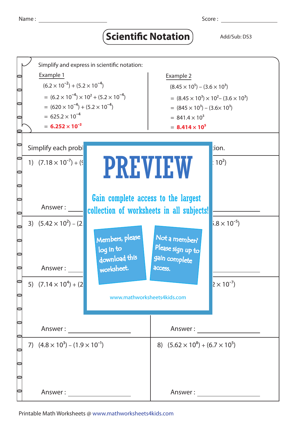## **Scientific Notation** Add/Sub: DS3



Printable Math Worksheets @ www.mathworksheets4kids.com